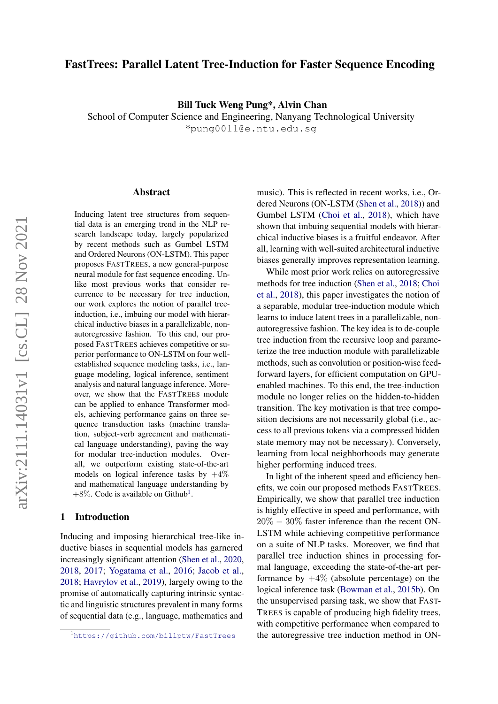# FastTrees: Parallel Latent Tree-Induction for Faster Sequence Encoding

Bill Tuck Weng Pung\*, Alvin Chan

School of Computer Science and Engineering, Nanyang Technological University \*pung0011@e.ntu.edu.sg

#### Abstract

Inducing latent tree structures from sequential data is an emerging trend in the NLP research landscape today, largely popularized by recent methods such as Gumbel LSTM and Ordered Neurons (ON-LSTM). This paper proposes FASTTREES, a new general-purpose neural module for fast sequence encoding. Unlike most previous works that consider recurrence to be necessary for tree induction, our work explores the notion of parallel treeinduction, i.e., imbuing our model with hierarchical inductive biases in a parallelizable, nonautoregressive fashion. To this end, our proposed FASTTREES achieves competitive or superior performance to ON-LSTM on four wellestablished sequence modeling tasks, i.e., language modeling, logical inference, sentiment analysis and natural language inference. Moreover, we show that the FASTTREES module can be applied to enhance Transformer models, achieving performance gains on three sequence transduction tasks (machine translation, subject-verb agreement and mathematical language understanding), paving the way for modular tree-induction modules. Overall, we outperform existing state-of-the-art models on logical inference tasks by  $+4\%$ and mathematical language understanding by  $+8\%$ . Code is available on Github<sup>[1](#page-0-0)</sup>.

## 1 Introduction

Inducing and imposing hierarchical tree-like inductive biases in sequential models has garnered increasingly significant attention [\(Shen et al.,](#page-8-0) [2020,](#page-8-0) [2018,](#page-8-1) [2017;](#page-8-2) [Yogatama et al.,](#page-9-0) [2016;](#page-9-0) [Jacob et al.,](#page-8-3) [2018;](#page-8-3) [Havrylov et al.,](#page-8-4) [2019\)](#page-8-4), largely owing to the promise of automatically capturing intrinsic syntactic and linguistic structures prevalent in many forms of sequential data (e.g., language, mathematics and

music). This is reflected in recent works, i.e., Ordered Neurons (ON-LSTM [\(Shen et al.,](#page-8-1) [2018\)](#page-8-1)) and Gumbel LSTM [\(Choi et al.,](#page-8-5) [2018\)](#page-8-5), which have shown that imbuing sequential models with hierarchical inductive biases is a fruitful endeavor. After all, learning with well-suited architectural inductive biases generally improves representation learning.

While most prior work relies on autoregressive methods for tree induction [\(Shen et al.,](#page-8-1) [2018;](#page-8-1) [Choi](#page-8-5) [et al.,](#page-8-5) [2018\)](#page-8-5), this paper investigates the notion of a separable, modular tree-induction module which learns to induce latent trees in a parallelizable, nonautoregressive fashion. The key idea is to de-couple tree induction from the recursive loop and parameterize the tree induction module with parallelizable methods, such as convolution or position-wise feedforward layers, for efficient computation on GPUenabled machines. To this end, the tree-induction module no longer relies on the hidden-to-hidden transition. The key motivation is that tree composition decisions are not necessarily global (i.e., access to all previous tokens via a compressed hidden state memory may not be necessary). Conversely, learning from local neighborhoods may generate higher performing induced trees.

In light of the inherent speed and efficiency benefits, we coin our proposed methods FASTTREES. Empirically, we show that parallel tree induction is highly effective in speed and performance, with 20% − 30% faster inference than the recent ON-LSTM while achieving competitive performance on a suite of NLP tasks. Moreover, we find that parallel tree induction shines in processing formal language, exceeding the state-of-the-art performance by  $+4\%$  (absolute percentage) on the logical inference task [\(Bowman et al.,](#page-8-6) [2015b\)](#page-8-6). On the unsupervised parsing task, we show that FAST-TREES is capable of producing high fidelity trees, with competitive performance when compared to the autoregressive tree induction method in ON-

<span id="page-0-0"></span><sup>1</sup><https://github.com/billptw/FastTrees>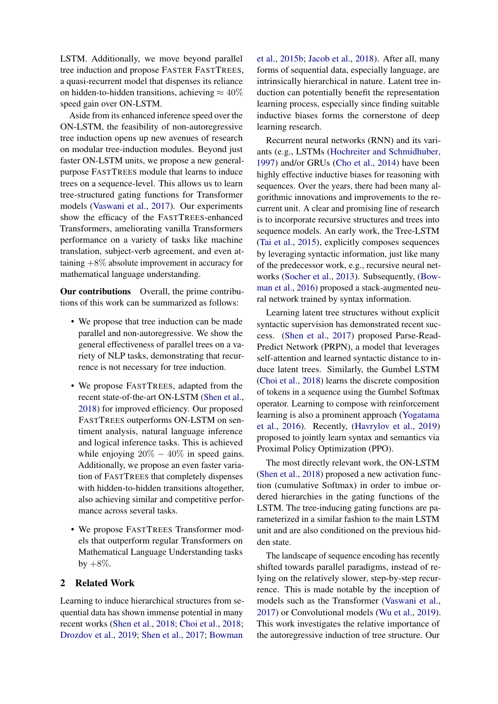LSTM. Additionally, we move beyond parallel tree induction and propose FASTER FASTTREES, a quasi-recurrent model that dispenses its reliance on hidden-to-hidden transitions, achieving  $\approx 40\%$ speed gain over ON-LSTM.

Aside from its enhanced inference speed over the ON-LSTM, the feasibility of non-autoregressive tree induction opens up new avenues of research on modular tree-induction modules. Beyond just faster ON-LSTM units, we propose a new generalpurpose FASTTREES module that learns to induce trees on a sequence-level. This allows us to learn tree-structured gating functions for Transformer models [\(Vaswani et al.,](#page-9-1) [2017\)](#page-9-1). Our experiments show the efficacy of the FASTTREES-enhanced Transformers, ameliorating vanilla Transformers performance on a variety of tasks like machine translation, subject-verb agreement, and even attaining  $+8\%$  absolute improvement in accuracy for mathematical language understanding.

Our contributions Overall, the prime contributions of this work can be summarized as follows:

- We propose that tree induction can be made parallel and non-autoregressive. We show the general effectiveness of parallel trees on a variety of NLP tasks, demonstrating that recurrence is not necessary for tree induction.
- We propose FASTTREES, adapted from the recent state-of-the-art ON-LSTM [\(Shen et al.,](#page-8-1) [2018\)](#page-8-1) for improved efficiency. Our proposed FASTTREES outperforms ON-LSTM on sentiment analysis, natural language inference and logical inference tasks. This is achieved while enjoying  $20\% - 40\%$  in speed gains. Additionally, we propose an even faster variation of FASTTREES that completely dispenses with hidden-to-hidden transitions altogether, also achieving similar and competitive performance across several tasks.
- We propose FASTTREES Transformer models that outperform regular Transformers on Mathematical Language Understanding tasks  $by +8\%.$

# 2 Related Work

Learning to induce hierarchical structures from sequential data has shown immense potential in many recent works [\(Shen et al.,](#page-8-1) [2018;](#page-8-1) [Choi et al.,](#page-8-5) [2018;](#page-8-5) [Drozdov et al.,](#page-8-7) [2019;](#page-8-7) [Shen et al.,](#page-8-2) [2017;](#page-8-2) [Bowman](#page-8-6)

[et al.,](#page-8-6) [2015b;](#page-8-6) [Jacob et al.,](#page-8-3) [2018\)](#page-8-3). After all, many forms of sequential data, especially language, are intrinsically hierarchical in nature. Latent tree induction can potentially benefit the representation learning process, especially since finding suitable inductive biases forms the cornerstone of deep learning research.

Recurrent neural networks (RNN) and its variants (e.g., LSTMs [\(Hochreiter and Schmidhuber,](#page-8-8) [1997\)](#page-8-8) and/or GRUs [\(Cho et al.,](#page-8-9) [2014\)](#page-8-9) have been highly effective inductive biases for reasoning with sequences. Over the years, there had been many algorithmic innovations and improvements to the recurrent unit. A clear and promising line of research is to incorporate recursive structures and trees into sequence models. An early work, the Tree-LSTM [\(Tai et al.,](#page-9-2) [2015\)](#page-9-2), explicitly composes sequences by leveraging syntactic information, just like many of the predecessor work, e.g., recursive neural networks [\(Socher et al.,](#page-9-3) [2013\)](#page-9-3). Subsequently, [\(Bow](#page-8-10)[man et al.,](#page-8-10) [2016\)](#page-8-10) proposed a stack-augmented neural network trained by syntax information.

Learning latent tree structures without explicit syntactic supervision has demonstrated recent success. [\(Shen et al.,](#page-8-2) [2017\)](#page-8-2) proposed Parse-Read-Predict Network (PRPN), a model that leverages self-attention and learned syntactic distance to induce latent trees. Similarly, the Gumbel LSTM [\(Choi et al.,](#page-8-5) [2018\)](#page-8-5) learns the discrete composition of tokens in a sequence using the Gumbel Softmax operator. Learning to compose with reinforcement learning is also a prominent approach [\(Yogatama](#page-9-0) [et al.,](#page-9-0) [2016\)](#page-9-0). Recently, [\(Havrylov et al.,](#page-8-4) [2019\)](#page-8-4) proposed to jointly learn syntax and semantics via Proximal Policy Optimization (PPO).

The most directly relevant work, the ON-LSTM [\(Shen et al.,](#page-8-1) [2018\)](#page-8-1) proposed a new activation function (cumulative Softmax) in order to imbue ordered hierarchies in the gating functions of the LSTM. The tree-inducing gating functions are parameterized in a similar fashion to the main LSTM unit and are also conditioned on the previous hidden state.

The landscape of sequence encoding has recently shifted towards parallel paradigms, instead of relying on the relatively slower, step-by-step recurrence. This is made notable by the inception of models such as the Transformer [\(Vaswani et al.,](#page-9-1) [2017\)](#page-9-1) or Convolutional models [\(Wu et al.,](#page-9-4) [2019\)](#page-9-4). This work investigates the relative importance of the autoregressive induction of tree structure. Our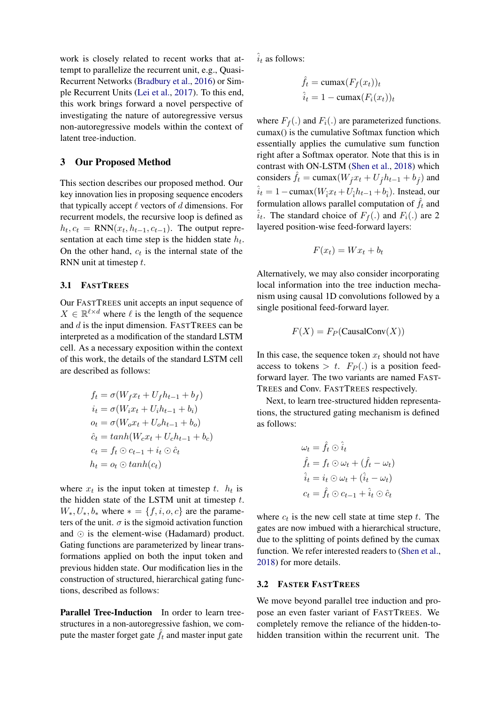work is closely related to recent works that attempt to parallelize the recurrent unit, e.g., Quasi-Recurrent Networks [\(Bradbury et al.,](#page-8-11) [2016\)](#page-8-11) or Simple Recurrent Units [\(Lei et al.,](#page-8-12) [2017\)](#page-8-12). To this end, this work brings forward a novel perspective of investigating the nature of autoregressive versus non-autoregressive models within the context of latent tree-induction.

## 3 Our Proposed Method

This section describes our proposed method. Our key innovation lies in proposing sequence encoders that typically accept  $\ell$  vectors of  $d$  dimensions. For recurrent models, the recursive loop is defined as  $h_t, c_t = RNN(x_t, h_{t-1}, c_{t-1})$ . The output representation at each time step is the hidden state  $h_t$ . On the other hand,  $c_t$  is the internal state of the RNN unit at timestep t.

#### 3.1 FASTTREES

Our FASTTREES unit accepts an input sequence of  $X \in \mathbb{R}^{\ell \times d}$  where  $\ell$  is the length of the sequence and d is the input dimension. FASTTREES can be interpreted as a modification of the standard LSTM cell. As a necessary exposition within the context of this work, the details of the standard LSTM cell are described as follows:

$$
f_t = \sigma(W_f x_t + U_f h_{t-1} + b_f)
$$
  
\n
$$
i_t = \sigma(W_i x_t + U_i h_{t-1} + b_i)
$$
  
\n
$$
o_t = \sigma(W_o x_t + U_o h_{t-1} + b_o)
$$
  
\n
$$
\hat{c}_t = \tanh(W_c x_t + U_c h_{t-1} + b_c)
$$
  
\n
$$
c_t = f_t \odot c_{t-1} + i_t \odot \hat{c}_t
$$
  
\n
$$
h_t = o_t \odot \tanh(c_t)
$$

where  $x_t$  is the input token at timestep t.  $h_t$  is the hidden state of the LSTM unit at timestep  $t$ .  $W_*, U_*, b_*$  where  $* = \{f, i, o, c\}$  are the parameters of the unit.  $\sigma$  is the sigmoid activation function and  $\odot$  is the element-wise (Hadamard) product. Gating functions are parameterized by linear transformations applied on both the input token and previous hidden state. Our modification lies in the construction of structured, hierarchical gating functions, described as follows:

Parallel Tree-Induction In order to learn treestructures in a non-autoregressive fashion, we compute the master forget gate  $\hat{f}_t$  and master input gate  $\hat{i}_t$  as follows:

$$
\hat{f}_t = \text{cumax}(F_f(x_t))_t
$$

$$
\hat{i}_t = 1 - \text{cumax}(F_i(x_t))_t
$$

where  $F_f(.)$  and  $F_i(.)$  are parameterized functions. cumax() is the cumulative Softmax function which essentially applies the cumulative sum function right after a Softmax operator. Note that this is in contrast with ON-LSTM [\(Shen et al.,](#page-8-1) [2018\)](#page-8-1) which considers  $\hat{f}_t = \text{cumax}(W_f x_t + U_f h_{t-1} + b_f)$  and  $\hat{i}_t = 1 - \text{cumax}(W_i x_t + U_i h_{t-1} + b_i)$ . Instead, our formulation allows parallel computation of  $\hat{f}_t$  and  $\hat{i}_t$ . The standard choice of  $F_f(.)$  and  $F_i(.)$  are 2 layered position-wise feed-forward layers:

$$
F(x_t) = Wx_t + b_t
$$

Alternatively, we may also consider incorporating local information into the tree induction mechanism using causal 1D convolutions followed by a single positional feed-forward layer.

$$
F(X) = F_P(\text{CausalConv}(X))
$$

In this case, the sequence token  $x_t$  should not have access to tokens  $> t$ .  $F_P(.)$  is a position feedforward layer. The two variants are named FAST-TREES and Conv. FASTTREES respectively.

Next, to learn tree-structured hidden representations, the structured gating mechanism is defined as follows:

$$
\omega_t = \hat{f}_t \odot \hat{i}_t
$$
  
\n
$$
\hat{f}_t = f_t \odot \omega_t + (\hat{f}_t - \omega_t)
$$
  
\n
$$
\hat{i}_t = i_t \odot \omega_t + (\hat{i}_t - \omega_t)
$$
  
\n
$$
c_t = \hat{f}_t \odot c_{t-1} + \hat{i}_t \odot \hat{c}_t
$$

where  $c_t$  is the new cell state at time step  $t$ . The gates are now imbued with a hierarchical structure, due to the splitting of points defined by the cumax function. We refer interested readers to [\(Shen et al.,](#page-8-1) [2018\)](#page-8-1) for more details.

### 3.2 FASTER FASTTREES

We move beyond parallel tree induction and propose an even faster variant of FASTTREES. We completely remove the reliance of the hidden-tohidden transition within the recurrent unit. The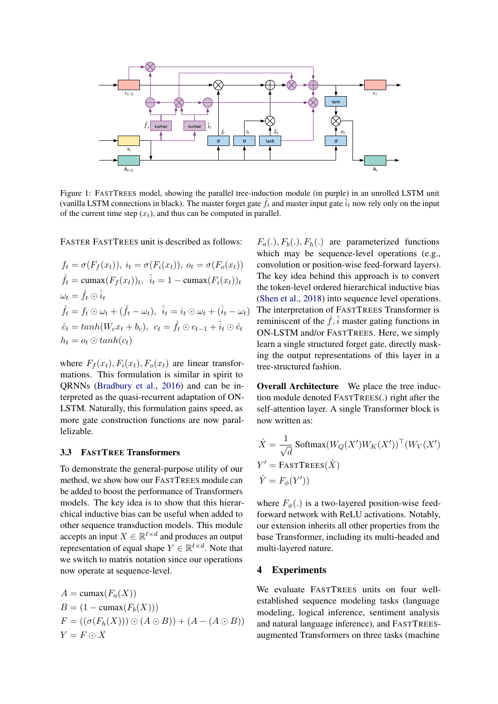

Figure 1: FASTTREES model, showing the parallel tree-induction module (in purple) in an unrolled LSTM unit (vanilla LSTM connections in black). The master forget gate  $\hat{f}_t$  and master input gate  $\hat{i}_t$  now rely only on the input of the current time step  $(x_t)$ , and thus can be computed in parallel.

FASTER FASTTREES unit is described as follows:

$$
f_t = \sigma(F_f(x_t)), \ i_t = \sigma(F_i(x_t)), \ o_t = \sigma(F_o(x_t))
$$

$$
\hat{f}_t = \text{cumax}(F_f(x_t))_t, \ \hat{i}_t = 1 - \text{cumax}(F_i(x_t))_t
$$

$$
\omega_t = \hat{f}_t \odot \hat{i}_t
$$

$$
\hat{f}_t = f_t \odot \omega_t + (\hat{f}_t - \omega_t), \ \hat{i}_t = i_t \odot \omega_t + (\hat{i}_t - \omega_t)
$$

$$
\hat{c}_t = \tanh(W_c x_t + b_c), \ c_t = \hat{f}_t \odot c_{t-1} + \hat{i}_t \odot \hat{c}_t
$$

$$
h_t = o_t \odot \tanh(c_t)
$$

where  $F_f(x_t)$ ,  $F_i(x_t)$ ,  $F_o(x_t)$  are linear transformations. This formulation is similar in spirit to QRNNs [\(Bradbury et al.,](#page-8-11) [2016\)](#page-8-11) and can be interpreted as the quasi-recurrent adaptation of ON-LSTM. Naturally, this formulation gains speed, as more gate construction functions are now parallelizable.

#### 3.3 FASTTREE Transformers

To demonstrate the general-purpose utility of our method, we show how our FASTTREES module can be added to boost the performance of Transformers models. The key idea is to show that this hierarchical inductive bias can be useful when added to other sequence transduction models. This module accepts an input  $X \in \mathbb{R}^{\ell \times d}$  and produces an output representation of equal shape  $Y \in \mathbb{R}^{\ell \times d}$ . Note that we switch to matrix notation since our operations now operate at sequence-level.

$$
A = \text{cumax}(F_a(X))
$$
  
\n
$$
B = (1 - \text{cumax}(F_b(X)))
$$
  
\n
$$
F = ((\sigma(F_h(X))) \odot (A \odot B)) + (A - (A \odot B))
$$
  
\n
$$
Y = F \odot X
$$

 $F_a(.)$ ,  $F_b(.)$ ,  $F_h(.)$  are parameterized functions which may be sequence-level operations (e.g., convolution or position-wise feed-forward layers). The key idea behind this approach is to convert the token-level ordered hierarchical inductive bias [\(Shen et al.,](#page-8-1) [2018\)](#page-8-1) into sequence level operations. The interpretation of FASTTREES Transformer is reminiscent of the  $\hat{f}$ ,  $\hat{i}$  master gating functions in ON-LSTM and/or FASTTREES. Here, we simply learn a single structured forget gate, directly masking the output representations of this layer in a tree-structured fashion.

Overall Architecture We place the tree induction module denoted FASTTREES(.) right after the self-attention layer. A single Transformer block is now written as:

$$
\hat{X} = \frac{1}{\sqrt{d}} \operatorname{Softmax}(W_Q(X')W_K(X'))^{\top} (W_V(X'))
$$
  
 
$$
Y' = \text{FASTTREES}(\hat{X})
$$
  
 
$$
\hat{Y} = F_{\phi}(Y'))
$$

where  $F_{\phi}$ (.) is a two-layered position-wise feedforward network with ReLU activations. Notably, our extension inherits all other properties from the base Transformer, including its multi-headed and multi-layered nature.

#### 4 Experiments

We evaluate FASTTREES units on four wellestablished sequence modeling tasks (language modeling, logical inference, sentiment analysis and natural language inference), and FASTTREESaugmented Transformers on three tasks (machine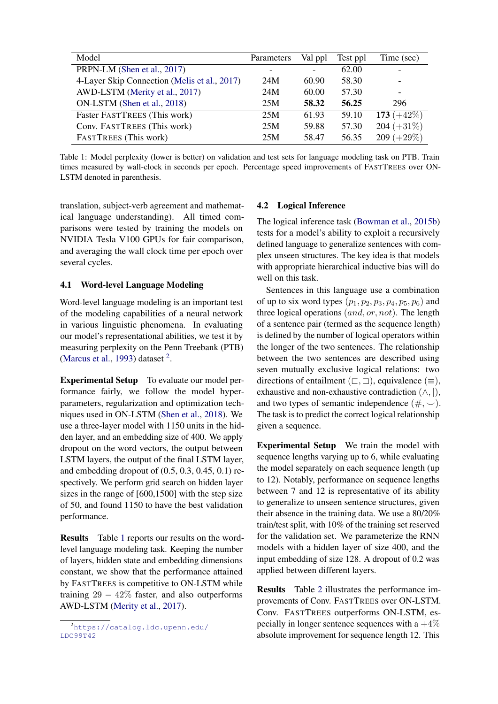<span id="page-4-1"></span>

| Model                                        | Parameters | Val ppl | Test ppl | Time (sec)    |
|----------------------------------------------|------------|---------|----------|---------------|
| PRPN-LM (Shen et al., 2017)                  |            |         | 62.00    |               |
| 4-Layer Skip Connection (Melis et al., 2017) | 24M        | 60.90   | 58.30    |               |
| AWD-LSTM (Merity et al., 2017)               | 24M        | 60.00   | 57.30    |               |
| ON-LSTM (Shen et al., 2018)                  | 25M        | 58.32   | 56.25    | 296           |
| Faster FASTTREES (This work)                 | 25M        | 61.93   | 59.10    | 173 $(+42\%)$ |
| Conv. FASTTREES (This work)                  | 25M        | 59.88   | 57.30    | $204 (+31\%)$ |
| <b>FASTTREES</b> (This work)                 | 25M        | 58.47   | 56.35    | $209 (+29\%)$ |

Table 1: Model perplexity (lower is better) on validation and test sets for language modeling task on PTB. Train times measured by wall-clock in seconds per epoch. Percentage speed improvements of FASTTREES over ON-LSTM denoted in parenthesis.

translation, subject-verb agreement and mathematical language understanding). All timed comparisons were tested by training the models on NVIDIA Tesla V100 GPUs for fair comparison, and averaging the wall clock time per epoch over several cycles.

## 4.1 Word-level Language Modeling

Word-level language modeling is an important test of the modeling capabilities of a neural network in various linguistic phenomena. In evaluating our model's representational abilities, we test it by measuring perplexity on the Penn Treebank (PTB) [\(Marcus et al.,](#page-8-15) [1993\)](#page-8-15) dataset  $2$ .

Experimental Setup To evaluate our model performance fairly, we follow the model hyperparameters, regularization and optimization techniques used in ON-LSTM [\(Shen et al.,](#page-8-1) [2018\)](#page-8-1). We use a three-layer model with 1150 units in the hidden layer, and an embedding size of 400. We apply dropout on the word vectors, the output between LSTM layers, the output of the final LSTM layer, and embedding dropout of (0.5, 0.3, 0.45, 0.1) respectively. We perform grid search on hidden layer sizes in the range of [600,1500] with the step size of 50, and found 1150 to have the best validation performance.

Results Table [1](#page-4-1) reports our results on the wordlevel language modeling task. Keeping the number of layers, hidden state and embedding dimensions constant, we show that the performance attained by FASTTREES is competitive to ON-LSTM while training  $29 - 42\%$  faster, and also outperforms AWD-LSTM [\(Merity et al.,](#page-8-14) [2017\)](#page-8-14).

### 4.2 Logical Inference

The logical inference task [\(Bowman et al.,](#page-8-6) [2015b\)](#page-8-6) tests for a model's ability to exploit a recursively defined language to generalize sentences with complex unseen structures. The key idea is that models with appropriate hierarchical inductive bias will do well on this task.

Sentences in this language use a combination of up to six word types  $(p_1, p_2, p_3, p_4, p_5, p_6)$  and three logical operations  $(and, or, not)$ . The length of a sentence pair (termed as the sequence length) is defined by the number of logical operators within the longer of the two sentences. The relationship between the two sentences are described using seven mutually exclusive logical relations: two directions of entailment ( $\sqsubset$ ,  $\sqsupset$ ), equivalence ( $\equiv$ ), exhaustive and non-exhaustive contradiction  $(\wedge, |),$ and two types of semantic independence  $(\#,\sim)$ . The task is to predict the correct logical relationship given a sequence.

Experimental Setup We train the model with sequence lengths varying up to 6, while evaluating the model separately on each sequence length (up to 12). Notably, performance on sequence lengths between 7 and 12 is representative of its ability to generalize to unseen sentence structures, given their absence in the training data. We use a 80/20% train/test split, with 10% of the training set reserved for the validation set. We parameterize the RNN models with a hidden layer of size 400, and the input embedding of size 128. A dropout of 0.2 was applied between different layers.

Results Table [2](#page-5-0) illustrates the performance improvements of Conv. FASTTREES over ON-LSTM. Conv. FASTTREES outperforms ON-LSTM, especially in longer sentence sequences with a  $+4\%$ absolute improvement for sequence length 12. This

<span id="page-4-0"></span><sup>2</sup>[https://catalog.ldc.upenn.edu/](https://catalog.ldc.upenn.edu/LDC99T42) [LDC99T42](https://catalog.ldc.upenn.edu/LDC99T42)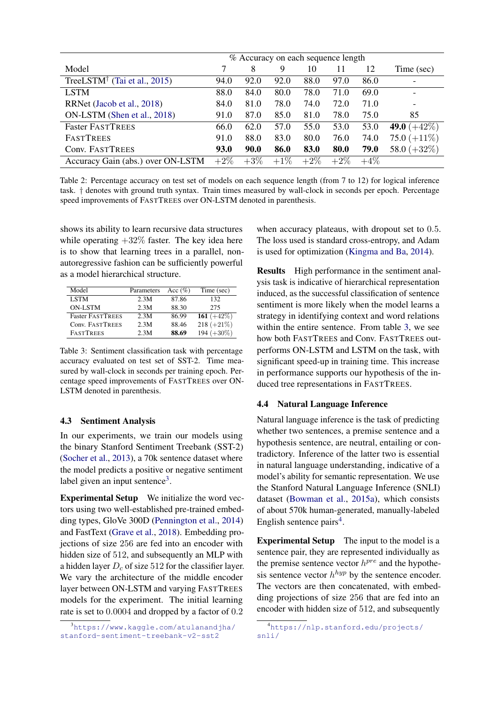<span id="page-5-0"></span>

|                                                             | % Accuracy on each sequence length |             |        |        |        |        |                |
|-------------------------------------------------------------|------------------------------------|-------------|--------|--------|--------|--------|----------------|
| Model                                                       |                                    | 8           | 9      | 10     | 11     | 12     | Time (sec)     |
| TreeLSTM <sup><math>\dagger</math></sup> (Tai et al., 2015) | 94.0                               | 92.0        | 92.0   | 88.0   | 97.0   | 86.0   |                |
| <b>LSTM</b>                                                 | 88.0                               | 84.0        | 80.0   | 78.0   | 71.0   | 69.0   |                |
| RRNet (Jacob et al., 2018)                                  | 84.0                               | 81.0        | 78.0   | 74.0   | 72.0   | 71.0   |                |
| ON-LSTM (Shen et al., 2018)                                 | 91.0                               | 87.0        | 85.0   | 81.0   | 78.0   | 75.0   | 85             |
| <b>Faster FASTTREES</b>                                     | 66.0                               | 62.0        | 57.0   | 55.0   | 53.0   | 53.0   | 49.0 $(+42\%)$ |
| <b>FASTTREES</b>                                            | 91.0                               | 88.0        | 83.0   | 80.0   | 76.0   | 74.0   | 75.0 $(+11\%)$ |
| Conv. FASTTREES                                             | 93.0                               | <b>90.0</b> | 86.0   | 83.0   | 80.0   | 79.0   | 58.0 $(+32\%)$ |
| Accuracy Gain (abs.) over ON-LSTM                           | $+2\%$                             | $+3\%$      | $+1\%$ | $+2\%$ | $+2\%$ | $+4\%$ |                |

Table 2: Percentage accuracy on test set of models on each sequence length (from 7 to 12) for logical inference task. † denotes with ground truth syntax. Train times measured by wall-clock in seconds per epoch. Percentage speed improvements of FASTTREES over ON-LSTM denoted in parenthesis.

shows its ability to learn recursive data structures while operating  $+32\%$  faster. The key idea here is to show that learning trees in a parallel, nonautoregressive fashion can be sufficiently powerful as a model hierarchical structure.

<span id="page-5-2"></span>

| Model                   | Parameters | Acc $(\% )$ | Time (sec)    |
|-------------------------|------------|-------------|---------------|
| <b>LSTM</b>             | 2.3M       | 87.86       | 132           |
| <b>ON-LSTM</b>          | 2.3M       | 88.30       | 275           |
| <b>Faster FASTTREES</b> | 2.3M       | 86.99       | 161 $(+42%)$  |
| Conv. FASTTREES         | 2.3M       | 88.46       | 218 $(+21\%)$ |
| <b>FASTTREES</b>        | 2.3M       | 88.69       | $194 (+30\%)$ |

Table 3: Sentiment classification task with percentage accuracy evaluated on test set of SST-2. Time measured by wall-clock in seconds per training epoch. Percentage speed improvements of FASTTREES over ON-LSTM denoted in parenthesis.

### 4.3 Sentiment Analysis

In our experiments, we train our models using the binary Stanford Sentiment Treebank (SST-2) [\(Socher et al.,](#page-9-3) [2013\)](#page-9-3), a 70k sentence dataset where the model predicts a positive or negative sentiment label given an input sentence<sup>[3](#page-5-1)</sup>.

Experimental Setup We initialize the word vectors using two well-established pre-trained embedding types, GloVe 300D [\(Pennington et al.,](#page-8-16) [2014\)](#page-8-16) and FastText [\(Grave et al.,](#page-8-17) [2018\)](#page-8-17). Embedding projections of size 256 are fed into an encoder with hidden size of 512, and subsequently an MLP with a hidden layer  $D_c$  of size 512 for the classifier layer. We vary the architecture of the middle encoder layer between ON-LSTM and varying FASTTREES models for the experiment. The initial learning rate is set to 0.0004 and dropped by a factor of 0.2

when accuracy plateaus, with dropout set to 0.5. The loss used is standard cross-entropy, and Adam is used for optimization [\(Kingma and Ba,](#page-8-18) [2014\)](#page-8-18).

Results High performance in the sentiment analysis task is indicative of hierarchical representation induced, as the successful classification of sentence sentiment is more likely when the model learns a strategy in identifying context and word relations within the entire sentence. From table [3,](#page-5-2) we see how both FASTTREES and Conv. FASTTREES outperforms ON-LSTM and LSTM on the task, with significant speed-up in training time. This increase in performance supports our hypothesis of the induced tree representations in FASTTREES.

#### 4.4 Natural Language Inference

Natural language inference is the task of predicting whether two sentences, a premise sentence and a hypothesis sentence, are neutral, entailing or contradictory. Inference of the latter two is essential in natural language understanding, indicative of a model's ability for semantic representation. We use the Stanford Natural Language Inference (SNLI) dataset [\(Bowman et al.,](#page-8-19) [2015a\)](#page-8-19), which consists of about 570k human-generated, manually-labeled English sentence pairs<sup>[4](#page-5-3)</sup>.

Experimental Setup The input to the model is a sentence pair, they are represented individually as the premise sentence vector  $h^{pre}$  and the hypothesis sentence vector  $h^{hyp}$  by the sentence encoder. The vectors are then concatenated, with embedding projections of size 256 that are fed into an encoder with hidden size of 512, and subsequently

<span id="page-5-1"></span><sup>3</sup>[https://www.kaggle.com/atulanandjha/](https://www.kaggle.com/atulanandjha/stanford-sentiment-treebank-v2-sst2) [stanford-sentiment-treebank-v2-sst2](https://www.kaggle.com/atulanandjha/stanford-sentiment-treebank-v2-sst2)

<span id="page-5-3"></span><sup>4</sup>[https://nlp.stanford.edu/projects/](https://nlp.stanford.edu/projects/snli/) [snli/](https://nlp.stanford.edu/projects/snli/)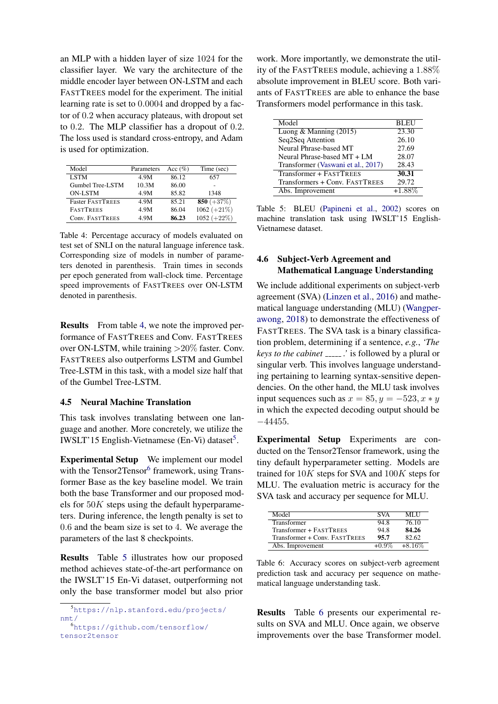an MLP with a hidden layer of size 1024 for the classifier layer. We vary the architecture of the middle encoder layer between ON-LSTM and each FASTTREES model for the experiment. The initial learning rate is set to 0.0004 and dropped by a factor of 0.2 when accuracy plateaus, with dropout set to 0.2. The MLP classifier has a dropout of 0.2. The loss used is standard cross-entropy, and Adam is used for optimization.

<span id="page-6-0"></span>

| Model                   | Parameters | Acc $(\% )$ | Time (sec)    |
|-------------------------|------------|-------------|---------------|
| <b>LSTM</b>             | 4.9M       | 86.12       | 657           |
| Gumbel Tree-LSTM        | 10.3M      | 86.00       |               |
| <b>ON-LSTM</b>          | 4.9M       | 85.82       | 1348          |
| <b>Faster FASTTREES</b> | 4.9M       | 85.21       | 850 $(+37%)$  |
| <b>FASTTREES</b>        | 4.9M       | 86.04       | $1062 (+21%)$ |
| Conv. FASTTREES         | 4.9M       | 86.23       | $1052 (+22%)$ |

Table 4: Percentage accuracy of models evaluated on test set of SNLI on the natural language inference task. Corresponding size of models in number of parameters denoted in parenthesis. Train times in seconds per epoch generated from wall-clock time. Percentage speed improvements of FASTTREES over ON-LSTM denoted in parenthesis.

Results From table [4,](#page-6-0) we note the improved performance of FASTTREES and Conv. FASTTREES over ON-LSTM, while training >20% faster. Conv. FASTTREES also outperforms LSTM and Gumbel Tree-LSTM in this task, with a model size half that of the Gumbel Tree-LSTM.

## 4.5 Neural Machine Translation

This task involves translating between one language and another. More concretely, we utilize the IWSLT'1[5](#page-6-1) English-Vietnamese (En-Vi) dataset<sup>5</sup>.

Experimental Setup We implement our model with the Tensor2Tensor<sup>[6](#page-6-2)</sup> framework, using Transformer Base as the key baseline model. We train both the base Transformer and our proposed models for 50K steps using the default hyperparameters. During inference, the length penalty is set to 0.6 and the beam size is set to 4. We average the parameters of the last 8 checkpoints.

Results Table [5](#page-6-3) illustrates how our proposed method achieves state-of-the-art performance on the IWSLT'15 En-Vi dataset, outperforming not only the base transformer model but also prior

<span id="page-6-2"></span><sup>6</sup>[https://github.com/tensorflow/](https://github.com/tensorflow/tensor2tensor) [tensor2tensor](https://github.com/tensorflow/tensor2tensor)

work. More importantly, we demonstrate the utility of the FASTTREES module, achieving a 1.88% absolute improvement in BLEU score. Both variants of FASTTREES are able to enhance the base Transformers model performance in this task.

<span id="page-6-3"></span>

| Model                              | <b>BLEU</b> |
|------------------------------------|-------------|
| Luong & Manning $(2015)$           | 23.30       |
| Seq2Seq Attention                  | 26.10       |
| Neural Phrase-based MT             | 27.69       |
| Neural Phrase-based MT + LM        | 28.07       |
| Transformer (Vaswani et al., 2017) | 28.43       |
| Transformer + FASTTREES            | 30.31       |
| Transformers + Conv. FASTTREES     | 29.72       |
| Abs. Improvement                   | $+1.88%$    |

Table 5: BLEU [\(Papineni et al.,](#page-8-20) [2002\)](#page-8-20) scores on machine translation task using IWSLT'15 English-Vietnamese dataset.

# 4.6 Subject-Verb Agreement and Mathematical Language Understanding

We include additional experiments on subject-verb agreement (SVA) [\(Linzen et al.,](#page-8-21) [2016\)](#page-8-21) and mathematical language understanding (MLU) [\(Wangper](#page-9-5)[awong,](#page-9-5) [2018\)](#page-9-5) to demonstrate the effectiveness of FASTTREES. The SVA task is a binary classification problem, determining if a sentence, *e.g.*, *'The keys to the cabinet ......*' is followed by a plural or singular verb. This involves language understanding pertaining to learning syntax-sensitive dependencies. On the other hand, the MLU task involves input sequences such as  $x = 85, y = -523, x * y$ in which the expected decoding output should be −44455.

Experimental Setup Experiments are conducted on the Tensor2Tensor framework, using the tiny default hyperparameter setting. Models are trained for  $10K$  steps for SVA and  $100K$  steps for MLU. The evaluation metric is accuracy for the SVA task and accuracy per sequence for MLU.

<span id="page-6-4"></span>

| Model                         | <b>SVA</b> | ML I I    |
|-------------------------------|------------|-----------|
| Transformer                   | 94.8       | 76.10     |
| Transformer + FASTTREES       | 94.8       | 84.26     |
| Transformer + Conv. FASTTREES | 95.7       | 82.62     |
| Abs. Improvement              | $+0.9\%$   | $+8.16\%$ |

Table 6: Accuracy scores on subject-verb agreement prediction task and accuracy per sequence on mathematical language understanding task.

Results Table [6](#page-6-4) presents our experimental results on SVA and MLU. Once again, we observe improvements over the base Transformer model.

<span id="page-6-1"></span><sup>5</sup>[https://nlp.stanford.edu/projects/](https://nlp.stanford.edu/projects/nmt/) [nmt/](https://nlp.stanford.edu/projects/nmt/)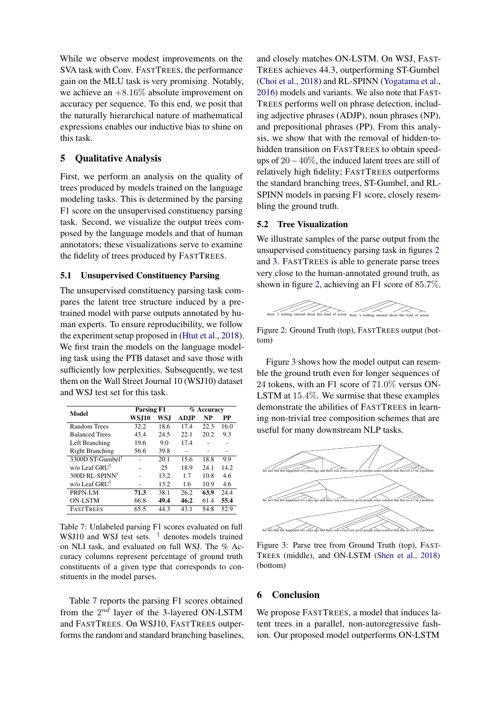While we observe modest improvements on the SVA task with Conv. FASTTREES, the performance gain on the MLU task is very promising. Notably, we achieve an  $+8.16\%$  absolute improvement on accuracy per sequence. To this end, we posit that the naturally hierarchical nature of mathematical expressions enables our inductive bias to shine on this task.

## 5 Qualitative Analysis

First, we perform an analysis on the quality of trees produced by models trained on the language modeling tasks. This is determined by the parsing F1 score on the unsupervised constituency parsing task. Second, we visualize the output trees composed by the language models and that of human annotators; these visualizations serve to examine the fidelity of trees produced by FASTTREES.

## 5.1 Unsupervised Constituency Parsing

The unsupervised constituency parsing task compares the latent tree structure induced by a pretrained model with parse outputs annotated by human experts. To ensure reproducibility, we follow the experiment setup proposed in [\(Htut et al.,](#page-8-22) [2018\)](#page-8-22). We first train the models on the language modeling task using the PTB dataset and save those with sufficiently low perplexities. Subsequently, we test them on the Wall Street Journal 10 (WSJ10) dataset and WSJ test set for this task.

<span id="page-7-0"></span>

| Model                        | <b>Parsing F1</b> |      | % Accuracy  |      |      |  |
|------------------------------|-------------------|------|-------------|------|------|--|
|                              | <b>WSJ10</b>      | WS.I | <b>ADJP</b> | NP   | РP   |  |
| Random Trees                 | 32.2              | 18.6 | 174         | 22.3 | 16.0 |  |
| <b>Balanced Trees</b>        | 43.4              | 24.5 | 22.1        | 20.2 | 9.3  |  |
| Left Branching               | 19.6              | 9.0  | 17.4        |      |      |  |
| <b>Right Branching</b>       | 56.6              | 39.8 |             |      | -    |  |
| 3300D ST-Gumbel <sup>†</sup> |                   | 20.1 | 15.6        | 18.8 | 9.9  |  |
| w/o Leaf GRUT                |                   | 25   | 18.9        | 24.1 | 14.2 |  |
| 300D RL-SPINN <sup>†</sup>   |                   | 13.2 | 17          | 10.8 | 4.6  |  |
| w/o Leaf GRUT                |                   | 13.2 | 1.6         | 10.9 | 4.6  |  |
| PRPN-LM                      | 71.3              | 38.1 | 26.2        | 63.9 | 24.4 |  |
| <b>ON-LSTM</b>               | 66.8              | 49.4 | 46.2        | 61.4 | 55.4 |  |
| <b>FASTTREES</b>             | 65.5              | 44.3 | 43.1        | 54.8 | 52.9 |  |

Table 7: Unlabeled parsing F1 scores evaluated on full WSJ10 and WSJ test sets. <sup>†</sup> denotes models trained on NLI task, and evaluated on full WSJ. The % Accuracy columns represent percentage of ground truth constituents of a given type that corresponds to constituents in the model parses.

Table [7](#page-7-0) reports the parsing F1 scores obtained from the  $2^{nd}$  layer of the 3-layered ON-LSTM and FASTTREES. On WSJ10, FASTTREES outperforms the random and standard branching baselines,

and closely matches ON-LSTM. On WSJ, FAST-TREES achieves 44.3, outperforming ST-Gumbel [\(Choi et al.,](#page-8-5) [2018\)](#page-8-5) and RL-SPINN [\(Yogatama et al.,](#page-9-0) [2016\)](#page-9-0) models and variants. We also note that FAST-TREES performs well on phrase detection, including adjective phrases (ADJP), noun phrases (NP), and prepositional phrases (PP). From this analysis, we show that with the removal of hidden-tohidden transition on FASTTREES to obtain speedups of 20−40%, the induced latent trees are still of relatively high fidelity; FASTTREES outperforms the standard branching trees, ST-Gumbel, and RL-SPINN models in parsing F1 score, closely resembling the ground truth.

#### 5.2 Tree Visualization

We illustrate samples of the parse output from the unsupervised constituency parsing task in figures [2](#page-7-1) and [3.](#page-7-2) FASTTREES is able to generate parse trees very close to the human-annotated ground truth, as shown in figure [2,](#page-7-1) achieving an F1 score of 85.7%.

<span id="page-7-1"></span>

Figure 2: Ground Truth (top), FASTTREES output (bottom)

Figure [3](#page-7-2) shows how the model output can resemble the ground truth even for longer sequences of 24 tokens, with an F1 score of 71.0% versus ON-LSTM at 15.4%. We surmise that these examples demonstrate the abilities of FASTTREES in learning non-trivial tree composition schemes that are useful for many downstream NLP tasks.

<span id="page-7-2"></span>

Figure 3: Parse tree from Ground Truth (top), FAST-TREES (middle), and ON-LSTM [\(Shen et al.,](#page-8-1) [2018\)](#page-8-1) (bottom)

### 6 Conclusion

We propose FASTTREES, a model that induces latent trees in a parallel, non-autoregressive fashion. Our proposed model outperforms ON-LSTM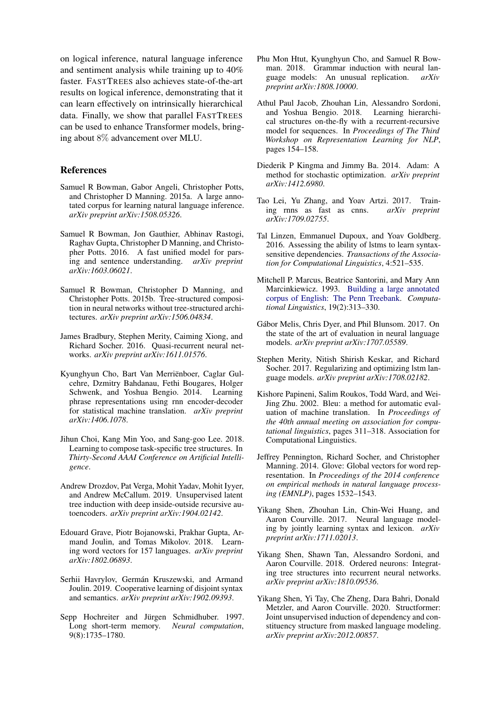on logical inference, natural language inference and sentiment analysis while training up to 40% faster. FASTTREES also achieves state-of-the-art results on logical inference, demonstrating that it can learn effectively on intrinsically hierarchical data. Finally, we show that parallel FASTTREES can be used to enhance Transformer models, bringing about 8% advancement over MLU.

#### References

- <span id="page-8-19"></span>Samuel R Bowman, Gabor Angeli, Christopher Potts, and Christopher D Manning. 2015a. A large annotated corpus for learning natural language inference. *arXiv preprint arXiv:1508.05326*.
- <span id="page-8-10"></span>Samuel R Bowman, Jon Gauthier, Abhinav Rastogi, Raghav Gupta, Christopher D Manning, and Christopher Potts. 2016. A fast unified model for parsing and sentence understanding. *arXiv preprint arXiv:1603.06021*.
- <span id="page-8-6"></span>Samuel R Bowman, Christopher D Manning, and Christopher Potts. 2015b. Tree-structured composition in neural networks without tree-structured architectures. *arXiv preprint arXiv:1506.04834*.
- <span id="page-8-11"></span>James Bradbury, Stephen Merity, Caiming Xiong, and Richard Socher. 2016. Quasi-recurrent neural networks. *arXiv preprint arXiv:1611.01576*.
- <span id="page-8-9"></span>Kyunghyun Cho, Bart Van Merriënboer, Caglar Gulcehre, Dzmitry Bahdanau, Fethi Bougares, Holger Schwenk, and Yoshua Bengio. 2014. Learning phrase representations using rnn encoder-decoder for statistical machine translation. *arXiv preprint arXiv:1406.1078*.
- <span id="page-8-5"></span>Jihun Choi, Kang Min Yoo, and Sang-goo Lee. 2018. Learning to compose task-specific tree structures. In *Thirty-Second AAAI Conference on Artificial Intelligence*.
- <span id="page-8-7"></span>Andrew Drozdov, Pat Verga, Mohit Yadav, Mohit Iyyer, and Andrew McCallum. 2019. Unsupervised latent tree induction with deep inside-outside recursive autoencoders. *arXiv preprint arXiv:1904.02142*.
- <span id="page-8-17"></span>Edouard Grave, Piotr Bojanowski, Prakhar Gupta, Armand Joulin, and Tomas Mikolov. 2018. Learning word vectors for 157 languages. *arXiv preprint arXiv:1802.06893*.
- <span id="page-8-4"></span>Serhii Havrylov, Germán Kruszewski, and Armand Joulin. 2019. Cooperative learning of disjoint syntax and semantics. *arXiv preprint arXiv:1902.09393*.
- <span id="page-8-8"></span>Sepp Hochreiter and Jürgen Schmidhuber. 1997. Long short-term memory. *Neural computation*, 9(8):1735–1780.
- <span id="page-8-22"></span>Phu Mon Htut, Kyunghyun Cho, and Samuel R Bowman. 2018. Grammar induction with neural language models: An unusual replication. *arXiv preprint arXiv:1808.10000*.
- <span id="page-8-3"></span>Athul Paul Jacob, Zhouhan Lin, Alessandro Sordoni, and Yoshua Bengio. 2018. Learning hierarchical structures on-the-fly with a recurrent-recursive model for sequences. In *Proceedings of The Third Workshop on Representation Learning for NLP*, pages 154–158.
- <span id="page-8-18"></span>Diederik P Kingma and Jimmy Ba. 2014. Adam: A method for stochastic optimization. *arXiv preprint arXiv:1412.6980*.
- <span id="page-8-12"></span>Tao Lei, Yu Zhang, and Yoav Artzi. 2017. Training rnns as fast as cnns. *arXiv preprint arXiv:1709.02755*.
- <span id="page-8-21"></span>Tal Linzen, Emmanuel Dupoux, and Yoav Goldberg. 2016. Assessing the ability of lstms to learn syntaxsensitive dependencies. *Transactions of the Association for Computational Linguistics*, 4:521–535.
- <span id="page-8-15"></span>Mitchell P. Marcus, Beatrice Santorini, and Mary Ann Marcinkiewicz. 1993. [Building a large annotated](https://www.aclweb.org/anthology/J93-2004) [corpus of English: The Penn Treebank.](https://www.aclweb.org/anthology/J93-2004) *Computational Linguistics*, 19(2):313–330.
- <span id="page-8-13"></span>Gábor Melis, Chris Dyer, and Phil Blunsom. 2017. On the state of the art of evaluation in neural language models. *arXiv preprint arXiv:1707.05589*.
- <span id="page-8-14"></span>Stephen Merity, Nitish Shirish Keskar, and Richard Socher. 2017. Regularizing and optimizing lstm language models. *arXiv preprint arXiv:1708.02182*.
- <span id="page-8-20"></span>Kishore Papineni, Salim Roukos, Todd Ward, and Wei-Jing Zhu. 2002. Bleu: a method for automatic evaluation of machine translation. In *Proceedings of the 40th annual meeting on association for computational linguistics*, pages 311–318. Association for Computational Linguistics.
- <span id="page-8-16"></span>Jeffrey Pennington, Richard Socher, and Christopher Manning. 2014. Glove: Global vectors for word representation. In *Proceedings of the 2014 conference on empirical methods in natural language processing (EMNLP)*, pages 1532–1543.
- <span id="page-8-2"></span>Yikang Shen, Zhouhan Lin, Chin-Wei Huang, and Aaron Courville. 2017. Neural language modeling by jointly learning syntax and lexicon. *arXiv preprint arXiv:1711.02013*.
- <span id="page-8-1"></span>Yikang Shen, Shawn Tan, Alessandro Sordoni, and Aaron Courville. 2018. Ordered neurons: Integrating tree structures into recurrent neural networks. *arXiv preprint arXiv:1810.09536*.
- <span id="page-8-0"></span>Yikang Shen, Yi Tay, Che Zheng, Dara Bahri, Donald Metzler, and Aaron Courville. 2020. Structformer: Joint unsupervised induction of dependency and constituency structure from masked language modeling. *arXiv preprint arXiv:2012.00857*.